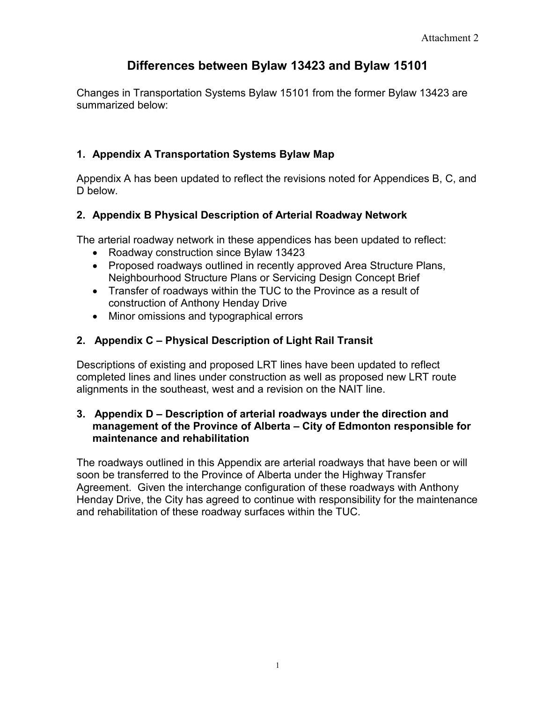# **Differences between Bylaw 13423 and Bylaw 15101**

Changes in Transportation Systems Bylaw 15101 from the former Bylaw 13423 are summarized below:

## **1. Appendix A Transportation Systems Bylaw Map**

Appendix A has been updated to reflect the revisions noted for Appendices B, C, and D below.

## **2. Appendix B Physical Description of Arterial Roadway Network**

The arterial roadway network in these appendices has been updated to reflect:

- Roadway construction since Bylaw 13423
- Proposed roadways outlined in recently approved Area Structure Plans, Neighbourhood Structure Plans or Servicing Design Concept Brief
- Transfer of roadways within the TUC to the Province as a result of construction of Anthony Henday Drive
- Minor omissions and typographical errors

## **2. Appendix C – Physical Description of Light Rail Transit**

Descriptions of existing and proposed LRT lines have been updated to reflect completed lines and lines under construction as well as proposed new LRT route alignments in the southeast, west and a revision on the NAIT line.

#### **3. Appendix D – Description of arterial roadways under the direction and management of the Province of Alberta – City of Edmonton responsible for maintenance and rehabilitation**

The roadways outlined in this Appendix are arterial roadways that have been or will soon be transferred to the Province of Alberta under the Highway Transfer Agreement. Given the interchange configuration of these roadways with Anthony Henday Drive, the City has agreed to continue with responsibility for the maintenance and rehabilitation of these roadway surfaces within the TUC.